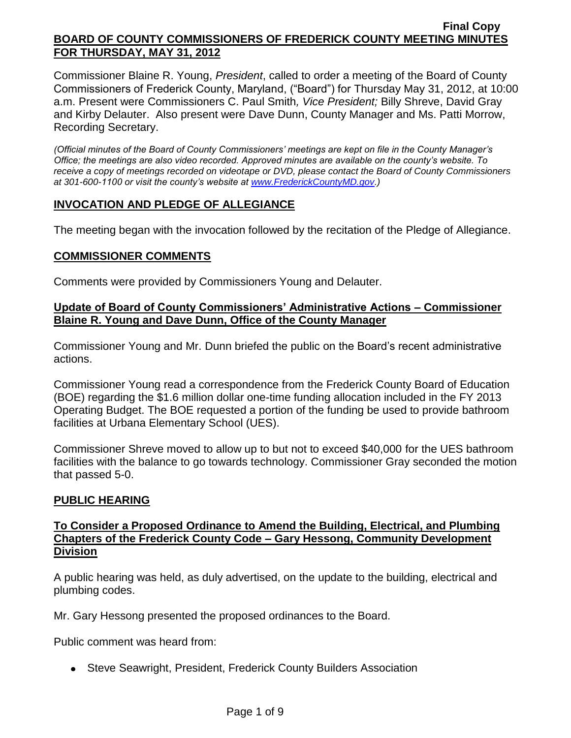Commissioner Blaine R. Young, *President*, called to order a meeting of the Board of County Commissioners of Frederick County, Maryland, ("Board") for Thursday May 31, 2012, at 10:00 a.m. Present were Commissioners C. Paul Smith*, Vice President;* Billy Shreve, David Gray and Kirby Delauter. Also present were Dave Dunn, County Manager and Ms. Patti Morrow, Recording Secretary.

*(Official minutes of the Board of County Commissioners' meetings are kept on file in the County Manager's Office; the meetings are also video recorded. Approved minutes are available on the county's website. To receive a copy of meetings recorded on videotape or DVD, please contact the Board of County Commissioners at 301-600-1100 or visit the county's website at [www.FrederickCountyMD.gov.](http://www.frederickcountymd.gov/))*

# **INVOCATION AND PLEDGE OF ALLEGIANCE**

The meeting began with the invocation followed by the recitation of the Pledge of Allegiance.

### **COMMISSIONER COMMENTS**

Comments were provided by Commissioners Young and Delauter.

## **Update of Board of County Commissioners' Administrative Actions – Commissioner Blaine R. Young and Dave Dunn, Office of the County Manager**

Commissioner Young and Mr. Dunn briefed the public on the Board's recent administrative actions.

Commissioner Young read a correspondence from the Frederick County Board of Education (BOE) regarding the \$1.6 million dollar one-time funding allocation included in the FY 2013 Operating Budget. The BOE requested a portion of the funding be used to provide bathroom facilities at Urbana Elementary School (UES).

Commissioner Shreve moved to allow up to but not to exceed \$40,000 for the UES bathroom facilities with the balance to go towards technology. Commissioner Gray seconded the motion that passed 5-0.

# **PUBLIC HEARING**

# **To Consider a Proposed Ordinance to Amend the Building, Electrical, and Plumbing Chapters of the Frederick County Code – Gary Hessong, Community Development Division**

A public hearing was held, as duly advertised, on the update to the building, electrical and plumbing codes.

Mr. Gary Hessong presented the proposed ordinances to the Board.

Public comment was heard from:

• Steve Seawright, President, Frederick County Builders Association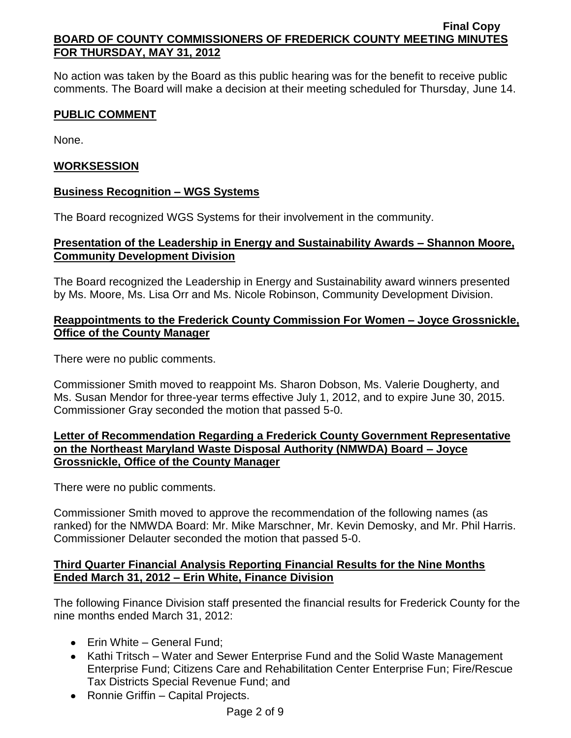No action was taken by the Board as this public hearing was for the benefit to receive public comments. The Board will make a decision at their meeting scheduled for Thursday, June 14.

# **PUBLIC COMMENT**

None.

# **WORKSESSION**

# **Business Recognition – WGS Systems**

The Board recognized WGS Systems for their involvement in the community.

# **Presentation of the Leadership in Energy and Sustainability Awards – Shannon Moore, Community Development Division**

The Board recognized the Leadership in Energy and Sustainability award winners presented by Ms. Moore, Ms. Lisa Orr and Ms. Nicole Robinson, Community Development Division.

# **Reappointments to the Frederick County Commission For Women – Joyce Grossnickle, Office of the County Manager**

There were no public comments.

Commissioner Smith moved to reappoint Ms. Sharon Dobson, Ms. Valerie Dougherty, and Ms. Susan Mendor for three-year terms effective July 1, 2012, and to expire June 30, 2015. Commissioner Gray seconded the motion that passed 5-0.

# **Letter of Recommendation Regarding a Frederick County Government Representative on the Northeast Maryland Waste Disposal Authority (NMWDA) Board – Joyce Grossnickle, Office of the County Manager**

There were no public comments.

Commissioner Smith moved to approve the recommendation of the following names (as ranked) for the NMWDA Board: Mr. Mike Marschner, Mr. Kevin Demosky, and Mr. Phil Harris. Commissioner Delauter seconded the motion that passed 5-0.

# **Third Quarter Financial Analysis Reporting Financial Results for the Nine Months Ended March 31, 2012 – Erin White, Finance Division**

The following Finance Division staff presented the financial results for Frederick County for the nine months ended March 31, 2012:

- Erin White General Fund:
- Kathi Tritsch Water and Sewer Enterprise Fund and the Solid Waste Management Enterprise Fund; Citizens Care and Rehabilitation Center Enterprise Fun; Fire/Rescue Tax Districts Special Revenue Fund; and
- Ronnie Griffin Capital Projects.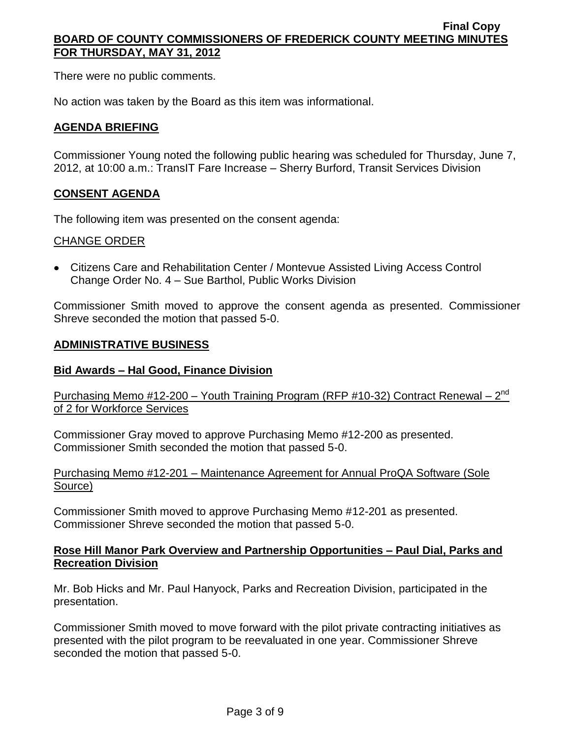There were no public comments.

No action was taken by the Board as this item was informational.

# **AGENDA BRIEFING**

Commissioner Young noted the following public hearing was scheduled for Thursday, June 7, 2012, at 10:00 a.m.: TransIT Fare Increase – Sherry Burford, Transit Services Division

# **CONSENT AGENDA**

The following item was presented on the consent agenda:

# CHANGE ORDER

Citizens Care and Rehabilitation Center / Montevue Assisted Living Access Control Change Order No. 4 – Sue Barthol, Public Works Division

Commissioner Smith moved to approve the consent agenda as presented. Commissioner Shreve seconded the motion that passed 5-0.

### **ADMINISTRATIVE BUSINESS**

## **Bid Awards – Hal Good, Finance Division**

Purchasing Memo #12-200 – Youth Training Program (RFP #10-32) Contract Renewal – 2<sup>nd</sup> of 2 for Workforce Services

Commissioner Gray moved to approve Purchasing Memo #12-200 as presented. Commissioner Smith seconded the motion that passed 5-0.

### Purchasing Memo #12-201 – Maintenance Agreement for Annual ProQA Software (Sole Source)

Commissioner Smith moved to approve Purchasing Memo #12-201 as presented. Commissioner Shreve seconded the motion that passed 5-0.

### **Rose Hill Manor Park Overview and Partnership Opportunities – Paul Dial, Parks and Recreation Division**

Mr. Bob Hicks and Mr. Paul Hanyock, Parks and Recreation Division, participated in the presentation.

Commissioner Smith moved to move forward with the pilot private contracting initiatives as presented with the pilot program to be reevaluated in one year. Commissioner Shreve seconded the motion that passed 5-0.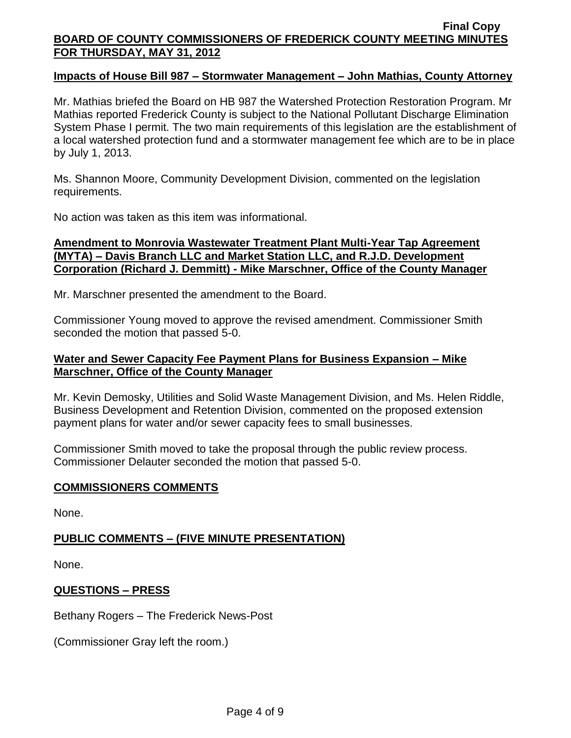### **Impacts of House Bill 987 – Stormwater Management – John Mathias, County Attorney**

Mr. Mathias briefed the Board on HB 987 the Watershed Protection Restoration Program. Mr Mathias reported Frederick County is subject to the National Pollutant Discharge Elimination System Phase I permit. The two main requirements of this legislation are the establishment of a local watershed protection fund and a stormwater management fee which are to be in place by July 1, 2013.

Ms. Shannon Moore, Community Development Division, commented on the legislation requirements.

No action was taken as this item was informational.

# **Amendment to Monrovia Wastewater Treatment Plant Multi-Year Tap Agreement (MYTA) – Davis Branch LLC and Market Station LLC, and R.J.D. Development Corporation (Richard J. Demmitt) - Mike Marschner, Office of the County Manager**

Mr. Marschner presented the amendment to the Board.

Commissioner Young moved to approve the revised amendment. Commissioner Smith seconded the motion that passed 5-0.

# **Water and Sewer Capacity Fee Payment Plans for Business Expansion – Mike Marschner, Office of the County Manager**

Mr. Kevin Demosky, Utilities and Solid Waste Management Division, and Ms. Helen Riddle, Business Development and Retention Division, commented on the proposed extension payment plans for water and/or sewer capacity fees to small businesses.

Commissioner Smith moved to take the proposal through the public review process. Commissioner Delauter seconded the motion that passed 5-0.

# **COMMISSIONERS COMMENTS**

None.

# **PUBLIC COMMENTS – (FIVE MINUTE PRESENTATION)**

None.

# **QUESTIONS – PRESS**

Bethany Rogers – The Frederick News-Post

(Commissioner Gray left the room.)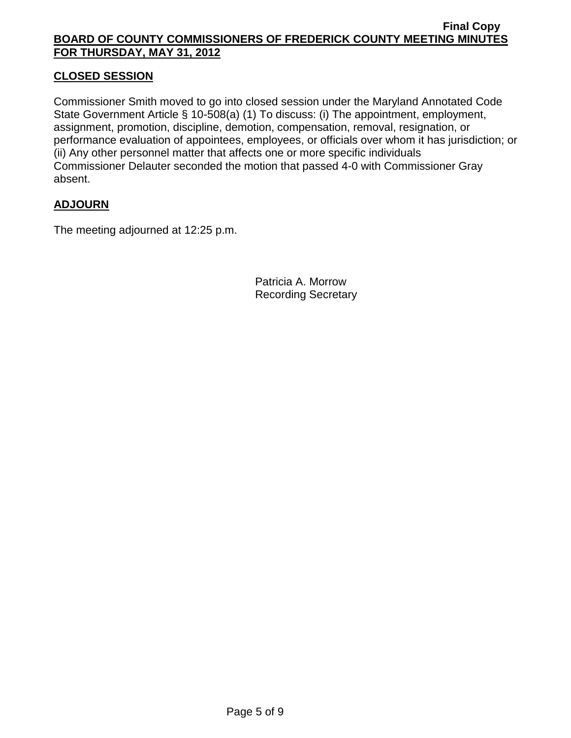# **CLOSED SESSION**

Commissioner Smith moved to go into closed session under the Maryland Annotated Code State Government Article § 10-508(a) (1) To discuss: (i) The appointment, employment, assignment, promotion, discipline, demotion, compensation, removal, resignation, or performance evaluation of appointees, employees, or officials over whom it has jurisdiction; or (ii) Any other personnel matter that affects one or more specific individuals Commissioner Delauter seconded the motion that passed 4-0 with Commissioner Gray absent.

# **ADJOURN**

The meeting adjourned at 12:25 p.m.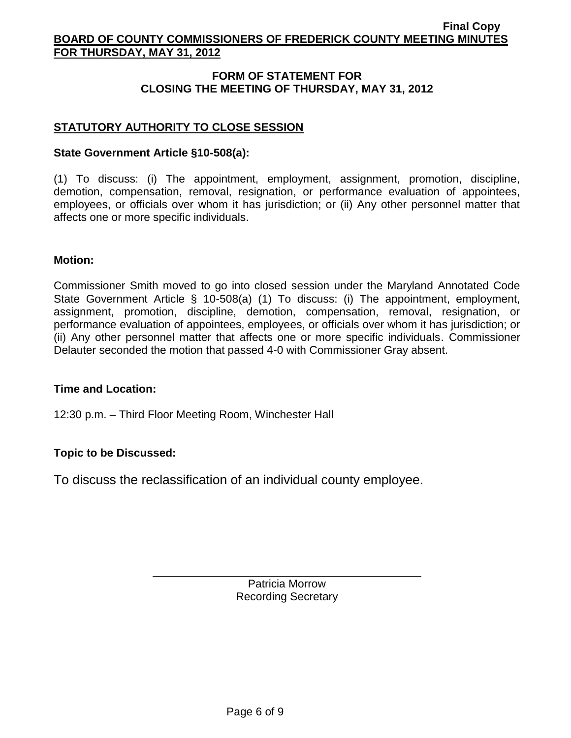# **FORM OF STATEMENT FOR CLOSING THE MEETING OF THURSDAY, MAY 31, 2012**

# **STATUTORY AUTHORITY TO CLOSE SESSION**

## **State Government Article §10-508(a):**

(1) To discuss: (i) The appointment, employment, assignment, promotion, discipline, demotion, compensation, removal, resignation, or performance evaluation of appointees, employees, or officials over whom it has jurisdiction; or (ii) Any other personnel matter that affects one or more specific individuals.

### **Motion:**

Commissioner Smith moved to go into closed session under the Maryland Annotated Code State Government Article § 10-508(a) (1) To discuss: (i) The appointment, employment, assignment, promotion, discipline, demotion, compensation, removal, resignation, or performance evaluation of appointees, employees, or officials over whom it has jurisdiction; or (ii) Any other personnel matter that affects one or more specific individuals. Commissioner Delauter seconded the motion that passed 4-0 with Commissioner Gray absent.

#### **Time and Location:**

12:30 p.m. – Third Floor Meeting Room, Winchester Hall

# **Topic to be Discussed:**

To discuss the reclassification of an individual county employee.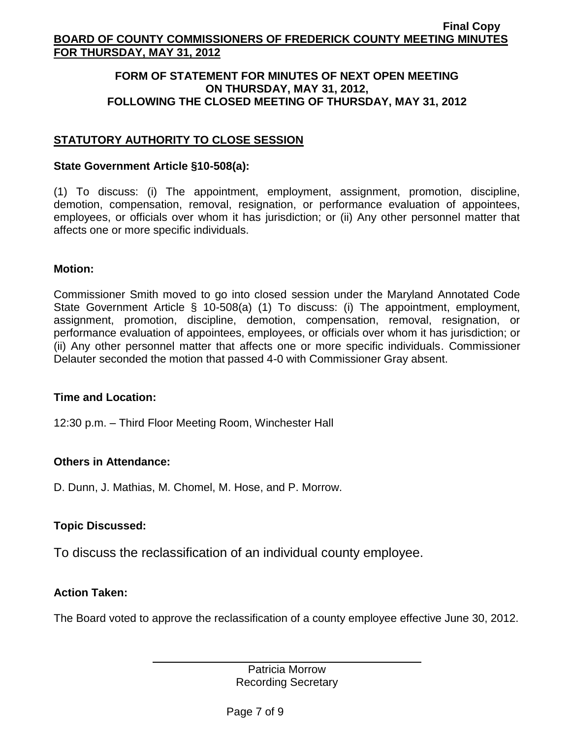## **FORM OF STATEMENT FOR MINUTES OF NEXT OPEN MEETING ON THURSDAY, MAY 31, 2012, FOLLOWING THE CLOSED MEETING OF THURSDAY, MAY 31, 2012**

# **STATUTORY AUTHORITY TO CLOSE SESSION**

#### **State Government Article §10-508(a):**

(1) To discuss: (i) The appointment, employment, assignment, promotion, discipline, demotion, compensation, removal, resignation, or performance evaluation of appointees, employees, or officials over whom it has jurisdiction; or (ii) Any other personnel matter that affects one or more specific individuals.

### **Motion:**

Commissioner Smith moved to go into closed session under the Maryland Annotated Code State Government Article § 10-508(a) (1) To discuss: (i) The appointment, employment, assignment, promotion, discipline, demotion, compensation, removal, resignation, or performance evaluation of appointees, employees, or officials over whom it has jurisdiction; or (ii) Any other personnel matter that affects one or more specific individuals. Commissioner Delauter seconded the motion that passed 4-0 with Commissioner Gray absent.

#### **Time and Location:**

12:30 p.m. – Third Floor Meeting Room, Winchester Hall

# **Others in Attendance:**

D. Dunn, J. Mathias, M. Chomel, M. Hose, and P. Morrow.

# **Topic Discussed:**

To discuss the reclassification of an individual county employee.

# **Action Taken:**

The Board voted to approve the reclassification of a county employee effective June 30, 2012.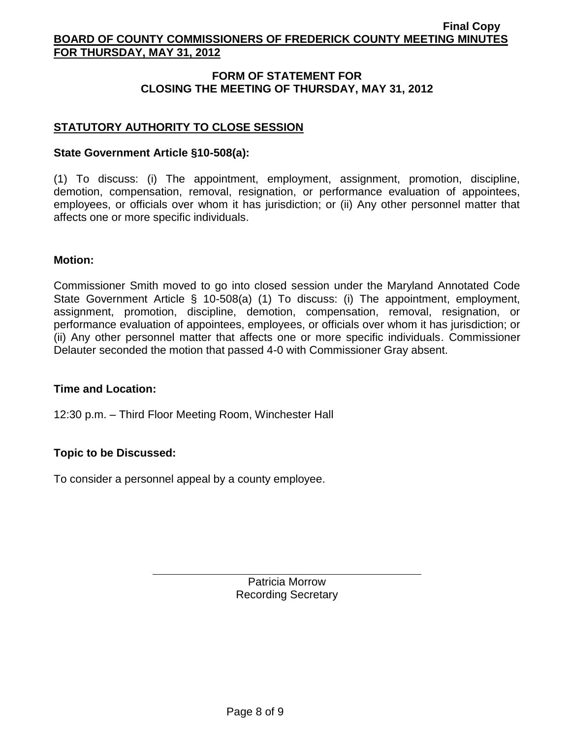# **FORM OF STATEMENT FOR CLOSING THE MEETING OF THURSDAY, MAY 31, 2012**

# **STATUTORY AUTHORITY TO CLOSE SESSION**

## **State Government Article §10-508(a):**

(1) To discuss: (i) The appointment, employment, assignment, promotion, discipline, demotion, compensation, removal, resignation, or performance evaluation of appointees, employees, or officials over whom it has jurisdiction; or (ii) Any other personnel matter that affects one or more specific individuals.

### **Motion:**

Commissioner Smith moved to go into closed session under the Maryland Annotated Code State Government Article § 10-508(a) (1) To discuss: (i) The appointment, employment, assignment, promotion, discipline, demotion, compensation, removal, resignation, or performance evaluation of appointees, employees, or officials over whom it has jurisdiction; or (ii) Any other personnel matter that affects one or more specific individuals. Commissioner Delauter seconded the motion that passed 4-0 with Commissioner Gray absent.

#### **Time and Location:**

12:30 p.m. – Third Floor Meeting Room, Winchester Hall

# **Topic to be Discussed:**

To consider a personnel appeal by a county employee.